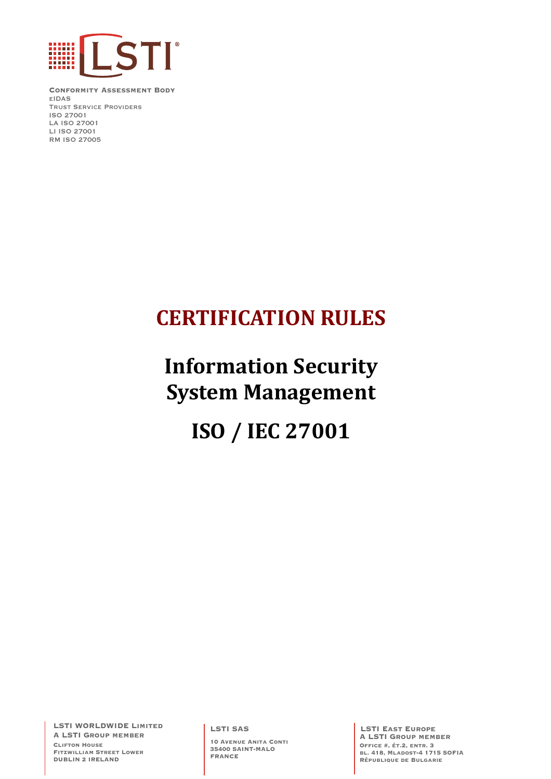

**Conformity Assessment Body** eIDAS Trust Service Providers ISO 27001 LA ISO 27001 LI ISO 27001 RM ISO 27005

## **CERTIFICATION RULES**

# **Information Security System Management**

## **ISO / IEC 27001**

**LSTI WORLDWIDE Limited A LSTI Group member Clifton House Fitzwilliam Street Lower DUBLIN 2 IRELAND**

**LSTI SAS**

**10 Avenue Anita Conti 35400 SAINT-MALO FRANCE**

**LSTI East Europe A LSTI Group member Office #, ét.2, entr. 3 bl. 418, Mladost-4 1715 SOFIA République de Bulgarie**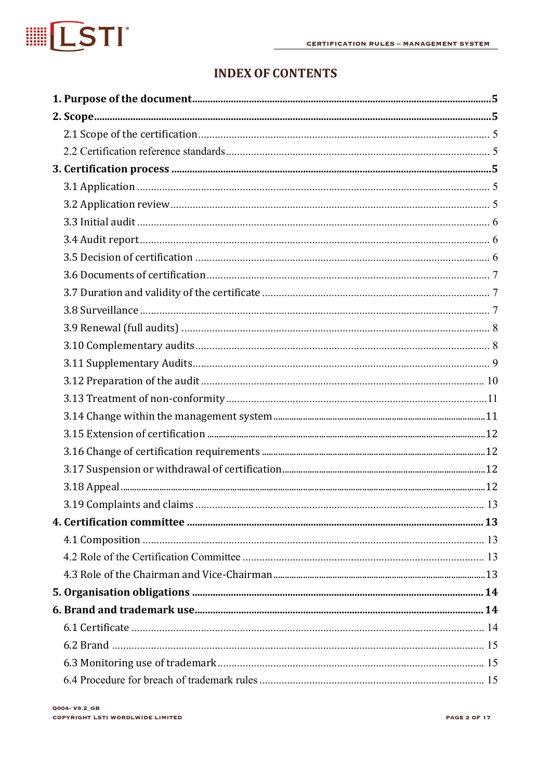

### **INDEX OF CONTENTS**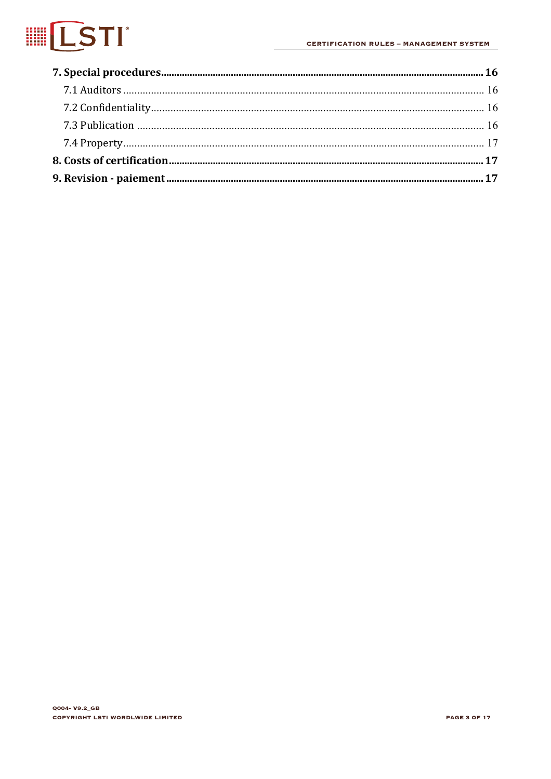# **IESTI**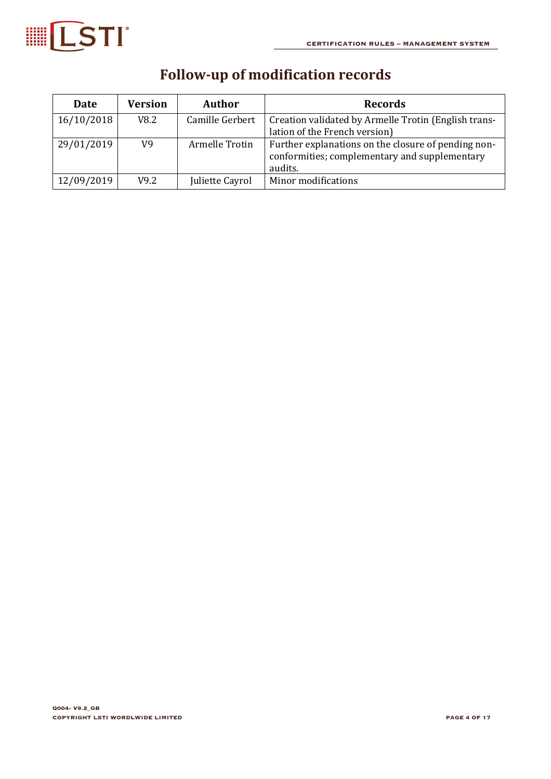

| <b>Date</b> | <b>Version</b> | Author          | Records                                                                                                         |
|-------------|----------------|-----------------|-----------------------------------------------------------------------------------------------------------------|
| 16/10/2018  | V8.2           | Camille Gerbert | Creation validated by Armelle Trotin (English trans-                                                            |
|             |                |                 | lation of the French version)                                                                                   |
| 29/01/2019  | V9             | Armelle Trotin  | Further explanations on the closure of pending non-<br>conformities; complementary and supplementary<br>audits. |
| 12/09/2019  | V9.2           | Juliette Cayrol | Minor modifications                                                                                             |

## **Follow-up of modification records**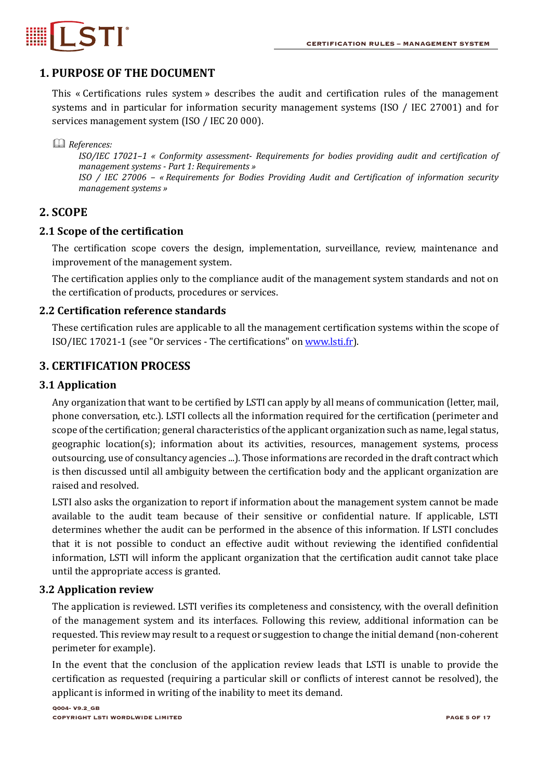

#### **1. PURPOSE OF THE DOCUMENT**

This « Certifications rules system » describes the audit and certification rules of the management systems and in particular for information security management systems (ISO / IEC 27001) and for services management system (ISO / IEC 20 000).

& *References:*

*ISO/IEC 17021–1 « Conformity assessment- Requirements for bodies providing audit and certification of management systems - Part 1: Requirements » ISO* / *IEC* 27006 - « Requirements for Bodies Providing Audit and Certification of information security *management systems »*

#### **2. SCOPE**

#### **2.1 Scope of the certification**

The certification scope covers the design, implementation, surveillance, review, maintenance and improvement of the management system.

The certification applies only to the compliance audit of the management system standards and not on the certification of products, procedures or services.

#### **2.2 Certification reference standards**

These certification rules are applicable to all the management certification systems within the scope of ISO/IEC 17021-1 (see "Or services - The certifications" on www.lsti.fr).

#### **3. CERTIFICATION PROCESS**

#### **3.1 Application**

Any organization that want to be certified by LSTI can apply by all means of communication (letter, mail, phone conversation, etc.). LSTI collects all the information required for the certification (perimeter and scope of the certification; general characteristics of the applicant organization such as name, legal status, geographic location(s); information about its activities, resources, management systems, process outsourcing, use of consultancy agencies ...). Those informations are recorded in the draft contract which is then discussed until all ambiguity between the certification body and the applicant organization are raised and resolved.

LSTI also asks the organization to report if information about the management system cannot be made available to the audit team because of their sensitive or confidential nature. If applicable, LSTI determines whether the audit can be performed in the absence of this information. If LSTI concludes that it is not possible to conduct an effective audit without reviewing the identified confidential information, LSTI will inform the applicant organization that the certification audit cannot take place until the appropriate access is granted.

#### **3.2 Application review**

The application is reviewed. LSTI verifies its completeness and consistency, with the overall definition of the management system and its interfaces. Following this review, additional information can be requested. This review may result to a request or suggestion to change the initial demand (non-coherent perimeter for example).

In the event that the conclusion of the application review leads that LSTI is unable to provide the certification as requested (requiring a particular skill or conflicts of interest cannot be resolved), the applicant is informed in writing of the inability to meet its demand.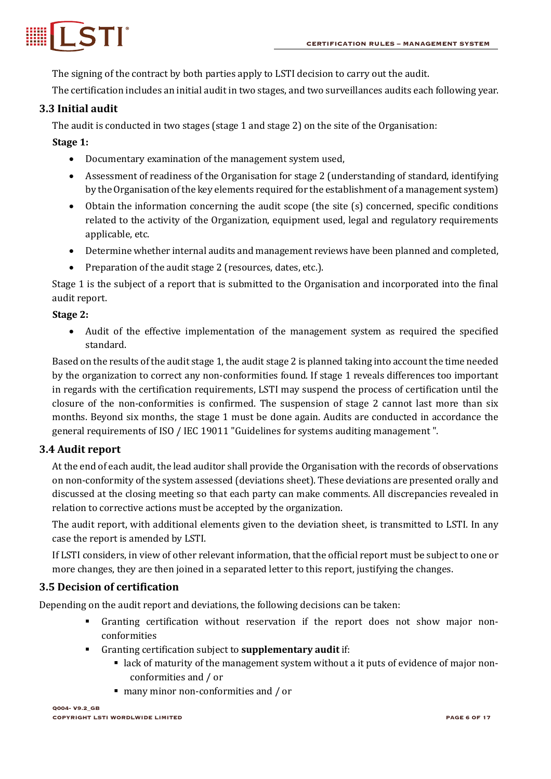

The signing of the contract by both parties apply to LSTI decision to carry out the audit.

The certification includes an initial audit in two stages, and two surveillances audits each following year.

#### **3.3 Initial audit**

The audit is conducted in two stages (stage 1 and stage 2) on the site of the Organisation:

#### **Stage 1:**

- Documentary examination of the management system used.
- Assessment of readiness of the Organisation for stage 2 (understanding of standard, identifying by the Organisation of the key elements required for the establishment of a management system)
- Obtain the information concerning the audit scope (the site (s) concerned, specific conditions related to the activity of the Organization, equipment used, legal and regulatory requirements applicable, etc.
- Determine whether internal audits and management reviews have been planned and completed,
- Preparation of the audit stage 2 (resources, dates, etc.).

Stage 1 is the subject of a report that is submitted to the Organisation and incorporated into the final audit report.

#### **Stage 2:**

• Audit of the effective implementation of the management system as required the specified standard.

Based on the results of the audit stage 1, the audit stage 2 is planned taking into account the time needed by the organization to correct any non-conformities found. If stage 1 reveals differences too important in regards with the certification requirements, LSTI may suspend the process of certification until the closure of the non-conformities is confirmed. The suspension of stage 2 cannot last more than six months. Beyond six months, the stage 1 must be done again. Audits are conducted in accordance the general requirements of ISO / IEC 19011 "Guidelines for systems auditing management".

#### **3.4 Audit report**

At the end of each audit, the lead auditor shall provide the Organisation with the records of observations on non-conformity of the system assessed (deviations sheet). These deviations are presented orally and discussed at the closing meeting so that each party can make comments. All discrepancies revealed in relation to corrective actions must be accepted by the organization.

The audit report, with additional elements given to the deviation sheet, is transmitted to LSTI. In any case the report is amended by LSTI.

If LSTI considers, in view of other relevant information, that the official report must be subject to one or more changes, they are then joined in a separated letter to this report, justifying the changes.

#### **3.5 Decision of certification**

Depending on the audit report and deviations, the following decisions can be taken:

- <sup>■</sup> Granting certification without reservation if the report does not show major nonconformities
- Granting certification subject to **supplementary audit** if:
	- lack of maturity of the management system without a it puts of evidence of major nonconformities and / or
	- many minor non-conformities and / or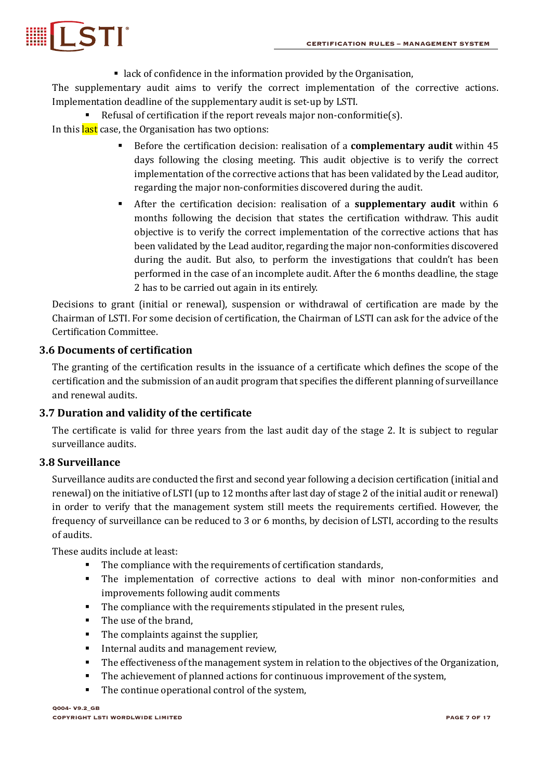

 $\blacksquare$  lack of confidence in the information provided by the Organisation,

The supplementary audit aims to verify the correct implementation of the corrective actions. Implementation deadline of the supplementary audit is set-up by LSTI.

Refusal of certification if the report reveals major non-conformitie(s). In this last case, the Organisation has two options:

- **•** Before the certification decision: realisation of a **complementary audit** within 45 days following the closing meeting. This audit objective is to verify the correct implementation of the corrective actions that has been validated by the Lead auditor, regarding the major non-conformities discovered during the audit.
- **•** After the certification decision: realisation of a **supplementary audit** within 6 months following the decision that states the certification withdraw. This audit objective is to verify the correct implementation of the corrective actions that has been validated by the Lead auditor, regarding the major non-conformities discovered during the audit. But also, to perform the investigations that couldn't has been performed in the case of an incomplete audit. After the 6 months deadline, the stage 2 has to be carried out again in its entirely.

Decisions to grant (initial or renewal), suspension or withdrawal of certification are made by the Chairman of LSTI. For some decision of certification, the Chairman of LSTI can ask for the advice of the Certification Committee.

#### **3.6 Documents of certification**

The granting of the certification results in the issuance of a certificate which defines the scope of the certification and the submission of an audit program that specifies the different planning of surveillance and renewal audits.

#### **3.7 Duration and validity of the certificate**

The certificate is valid for three years from the last audit day of the stage 2. It is subject to regular surveillance audits.

#### **3.8 Surveillance**

Surveillance audits are conducted the first and second year following a decision certification (initial and renewal) on the initiative of LSTI (up to 12 months after last day of stage 2 of the initial audit or renewal) in order to verify that the management system still meets the requirements certified. However, the frequency of surveillance can be reduced to 3 or 6 months, by decision of LSTI, according to the results of audits.

These audits include at least:

- The compliance with the requirements of certification standards,
- The implementation of corrective actions to deal with minor non-conformities and improvements following audit comments
- The compliance with the requirements stipulated in the present rules,
- The use of the brand,
- The complaints against the supplier,
- **•** Internal audits and management review,
- The effectiveness of the management system in relation to the objectives of the Organization,
- The achievement of planned actions for continuous improvement of the system,
- The continue operational control of the system,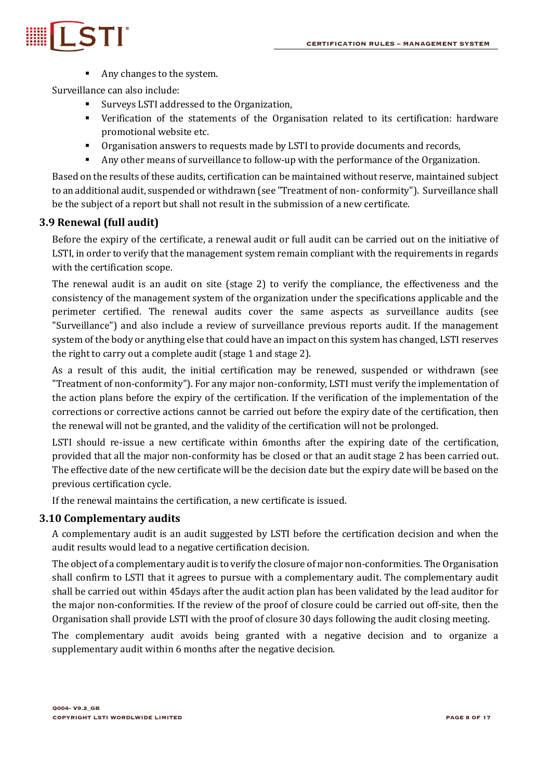

■ Any changes to the system.

Surveillance can also include:

- Surveys LSTI addressed to the Organization,
- Verification of the statements of the Organisation related to its certification: hardware promotional website etc.
- Organisation answers to requests made by LSTI to provide documents and records,
- Any other means of surveillance to follow-up with the performance of the Organization.

Based on the results of these audits, certification can be maintained without reserve, maintained subject to an additional audit, suspended or withdrawn (see "Treatment of non- conformity"). Surveillance shall be the subject of a report but shall not result in the submission of a new certificate.

#### **3.9 Renewal (full audit)**

Before the expiry of the certificate, a renewal audit or full audit can be carried out on the initiative of LSTI, in order to verify that the management system remain compliant with the requirements in regards with the certification scope.

The renewal audit is an audit on site (stage 2) to verify the compliance, the effectiveness and the consistency of the management system of the organization under the specifications applicable and the perimeter certified. The renewal audits cover the same aspects as surveillance audits (see "Surveillance") and also include a review of surveillance previous reports audit. If the management system of the body or anything else that could have an impact on this system has changed, LSTI reserves the right to carry out a complete audit (stage 1 and stage 2).

As a result of this audit, the initial certification may be renewed, suspended or withdrawn (see "Treatment of non-conformity"). For any major non-conformity, LSTI must verify the implementation of the action plans before the expiry of the certification. If the verification of the implementation of the corrections or corrective actions cannot be carried out before the expiry date of the certification, then the renewal will not be granted, and the validity of the certification will not be prolonged.

LSTI should re-issue a new certificate within 6months after the expiring date of the certification, provided that all the major non-conformity has be closed or that an audit stage 2 has been carried out. The effective date of the new certificate will be the decision date but the expiry date will be based on the previous certification cycle.

If the renewal maintains the certification, a new certificate is issued.

#### **3.10 Complementary audits**

A complementary audit is an audit suggested by LSTI before the certification decision and when the audit results would lead to a negative certification decision.

The object of a complementary audit is to verify the closure of major non-conformities. The Organisation shall confirm to LSTI that it agrees to pursue with a complementary audit. The complementary audit shall be carried out within 45days after the audit action plan has been validated by the lead auditor for the major non-conformities. If the review of the proof of closure could be carried out off-site, then the Organisation shall provide LSTI with the proof of closure 30 days following the audit closing meeting.

The complementary audit avoids being granted with a negative decision and to organize a supplementary audit within 6 months after the negative decision.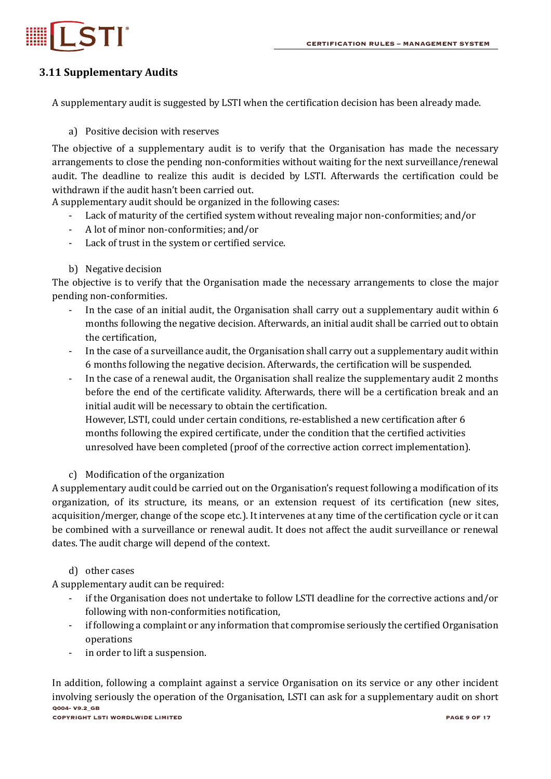



#### **3.11 Supplementary Audits**

A supplementary audit is suggested by LSTI when the certification decision has been already made.

#### a) Positive decision with reserves

The objective of a supplementary audit is to verify that the Organisation has made the necessary arrangements to close the pending non-conformities without waiting for the next surveillance/renewal audit. The deadline to realize this audit is decided by LSTI. Afterwards the certification could be withdrawn if the audit hasn't been carried out.

A supplementary audit should be organized in the following cases:

- Lack of maturity of the certified system without revealing major non-conformities; and/or
- A lot of minor non-conformities; and/or
- Lack of trust in the system or certified service.
- b) Negative decision

The objective is to verify that the Organisation made the necessary arrangements to close the major pending non-conformities.

- In the case of an initial audit, the Organisation shall carry out a supplementary audit within 6 months following the negative decision. Afterwards, an initial audit shall be carried out to obtain the certification.
- In the case of a surveillance audit, the Organisation shall carry out a supplementary audit within 6 months following the negative decision. Afterwards, the certification will be suspended.
- In the case of a renewal audit, the Organisation shall realize the supplementary audit 2 months before the end of the certificate validity. Afterwards, there will be a certification break and an initial audit will be necessary to obtain the certification.

However, LSTI, could under certain conditions, re-established a new certification after 6 months following the expired certificate, under the condition that the certified activities unresolved have been completed (proof of the corrective action correct implementation).

#### c) Modification of the organization

A supplementary audit could be carried out on the Organisation's request following a modification of its organization, of its structure, its means, or an extension request of its certification (new sites, acquisition/merger, change of the scope etc.). It intervenes at any time of the certification cycle or it can be combined with a surveillance or renewal audit. It does not affect the audit surveillance or renewal dates. The audit charge will depend of the context.

#### d) other cases

A supplementary audit can be required:

- if the Organisation does not undertake to follow LSTI deadline for the corrective actions and/or following with non-conformities notification,
- if following a complaint or any information that compromise seriously the certified Organisation operations
- in order to lift a suspension.

**Q004- V9.2\_GB COPYRIGHT LSTI WORDLWIDE LIMITED PAGE 9 OF 17** In addition, following a complaint against a service Organisation on its service or any other incident involving seriously the operation of the Organisation, LSTI can ask for a supplementary audit on short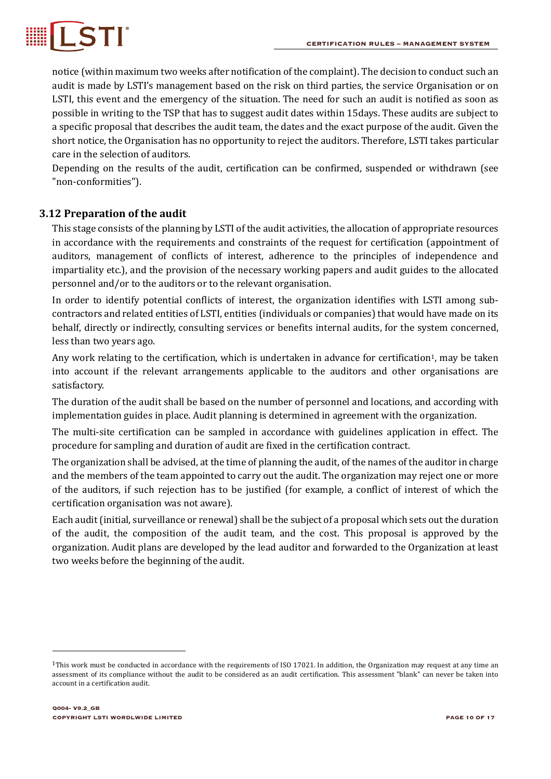

notice (within maximum two weeks after notification of the complaint). The decision to conduct such an audit is made by LSTI's management based on the risk on third parties, the service Organisation or on LSTI, this event and the emergency of the situation. The need for such an audit is notified as soon as possible in writing to the TSP that has to suggest audit dates within 15days. These audits are subject to a specific proposal that describes the audit team, the dates and the exact purpose of the audit. Given the short notice, the Organisation has no opportunity to reject the auditors. Therefore, LSTI takes particular care in the selection of auditors.

Depending on the results of the audit, certification can be confirmed, suspended or withdrawn (see "non-conformities").

#### **3.12 Preparation of the audit**

This stage consists of the planning by LSTI of the audit activities, the allocation of appropriate resources in accordance with the requirements and constraints of the request for certification (appointment of auditors, management of conflicts of interest, adherence to the principles of independence and impartiality etc.), and the provision of the necessary working papers and audit guides to the allocated personnel and/or to the auditors or to the relevant organisation.

In order to identify potential conflicts of interest, the organization identifies with LSTI among subcontractors and related entities of LSTI, entities (individuals or companies) that would have made on its behalf, directly or indirectly, consulting services or benefits internal audits, for the system concerned, less than two years ago.

Any work relating to the certification, which is undertaken in advance for certification<sup>1</sup>, may be taken into account if the relevant arrangements applicable to the auditors and other organisations are satisfactory.

The duration of the audit shall be based on the number of personnel and locations, and according with implementation guides in place. Audit planning is determined in agreement with the organization.

The multi-site certification can be sampled in accordance with guidelines application in effect. The procedure for sampling and duration of audit are fixed in the certification contract.

The organization shall be advised, at the time of planning the audit, of the names of the auditor in charge and the members of the team appointed to carry out the audit. The organization may reject one or more of the auditors, if such rejection has to be justified (for example, a conflict of interest of which the certification organisation was not aware).

Each audit (initial, surveillance or renewal) shall be the subject of a proposal which sets out the duration of the audit, the composition of the audit team, and the cost. This proposal is approved by the organization. Audit plans are developed by the lead auditor and forwarded to the Organization at least two weeks before the beginning of the audit.

<sup>&</sup>lt;sup>1</sup>This work must be conducted in accordance with the requirements of ISO 17021. In addition, the Organization may request at any time an assessment of its compliance without the audit to be considered as an audit certification. This assessment "blank" can never be taken into account in a certification audit.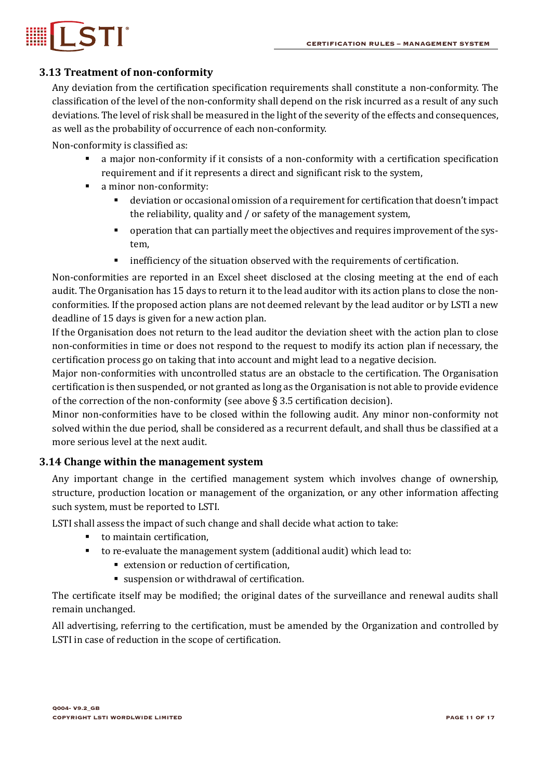

#### **3.13 Treatment of non-conformity**

Any deviation from the certification specification requirements shall constitute a non-conformity. The classification of the level of the non-conformity shall depend on the risk incurred as a result of any such deviations. The level of risk shall be measured in the light of the severity of the effects and consequences, as well as the probability of occurrence of each non-conformity.

Non-conformity is classified as:

- a major non-conformity if it consists of a non-conformity with a certification specification requirement and if it represents a direct and significant risk to the system,
- a minor non-conformity:
	- deviation or occasional omission of a requirement for certification that doesn't impact the reliability, quality and  $\ell$  or safety of the management system,
	- operation that can partially meet the objectives and requires improvement of the system,
	- **•** inefficiency of the situation observed with the requirements of certification.

Non-conformities are reported in an Excel sheet disclosed at the closing meeting at the end of each audit. The Organisation has 15 days to return it to the lead auditor with its action plans to close the nonconformities. If the proposed action plans are not deemed relevant by the lead auditor or by LSTI a new deadline of 15 days is given for a new action plan.

If the Organisation does not return to the lead auditor the deviation sheet with the action plan to close non-conformities in time or does not respond to the request to modify its action plan if necessary, the certification process go on taking that into account and might lead to a negative decision.

Major non-conformities with uncontrolled status are an obstacle to the certification. The Organisation certification is then suspended, or not granted as long as the Organisation is not able to provide evidence of the correction of the non-conformity (see above  $\S 3.5$  certification decision).

Minor non-conformities have to be closed within the following audit. Any minor non-conformity not solved within the due period, shall be considered as a recurrent default, and shall thus be classified at a more serious level at the next audit.

#### **3.14 Change within the management system**

Any important change in the certified management system which involves change of ownership, structure, production location or management of the organization, or any other information affecting such system, must be reported to LSTI.

LSTI shall assess the impact of such change and shall decide what action to take:

- $\blacksquare$  to maintain certification,
	- to re-evaluate the management system (additional audit) which lead to:
		- extension or reduction of certification,
		- suspension or withdrawal of certification.

The certificate itself may be modified; the original dates of the surveillance and renewal audits shall remain unchanged.

All advertising, referring to the certification, must be amended by the Organization and controlled by LSTI in case of reduction in the scope of certification.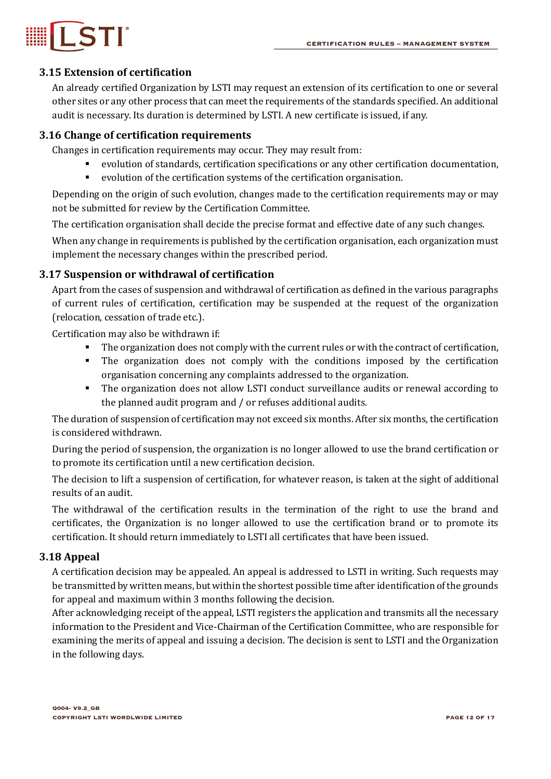



#### **3.15 Extension of certification**

An already certified Organization by LSTI may request an extension of its certification to one or several other sites or any other process that can meet the requirements of the standards specified. An additional audit is necessary. Its duration is determined by LSTI. A new certificate is issued, if any.

#### **3.16 Change of certification requirements**

Changes in certification requirements may occur. They may result from:

- evolution of standards, certification specifications or any other certification documentation,
- evolution of the certification systems of the certification organisation.

Depending on the origin of such evolution, changes made to the certification requirements may or may not be submitted for review by the Certification Committee.

The certification organisation shall decide the precise format and effective date of any such changes.

When any change in requirements is published by the certification organisation, each organization must implement the necessary changes within the prescribed period.

#### **3.17 Suspension or withdrawal of certification**

Apart from the cases of suspension and withdrawal of certification as defined in the various paragraphs of current rules of certification, certification may be suspended at the request of the organization (relocation, cessation of trade etc.).

Certification may also be withdrawn if:

- The organization does not comply with the current rules or with the contract of certification,
- The organization does not comply with the conditions imposed by the certification organisation concerning any complaints addressed to the organization.
- The organization does not allow LSTI conduct surveillance audits or renewal according to the planned audit program and  $/$  or refuses additional audits.

The duration of suspension of certification may not exceed six months. After six months, the certification is considered withdrawn.

During the period of suspension, the organization is no longer allowed to use the brand certification or to promote its certification until a new certification decision.

The decision to lift a suspension of certification, for whatever reason, is taken at the sight of additional results of an audit.

The withdrawal of the certification results in the termination of the right to use the brand and certificates, the Organization is no longer allowed to use the certification brand or to promote its certification. It should return immediately to LSTI all certificates that have been issued.

#### **3.18 Appeal**

A certification decision may be appealed. An appeal is addressed to LSTI in writing. Such requests may be transmitted by written means, but within the shortest possible time after identification of the grounds for appeal and maximum within 3 months following the decision.

After acknowledging receipt of the appeal, LSTI registers the application and transmits all the necessary information to the President and Vice-Chairman of the Certification Committee, who are responsible for examining the merits of appeal and issuing a decision. The decision is sent to LSTI and the Organization in the following days.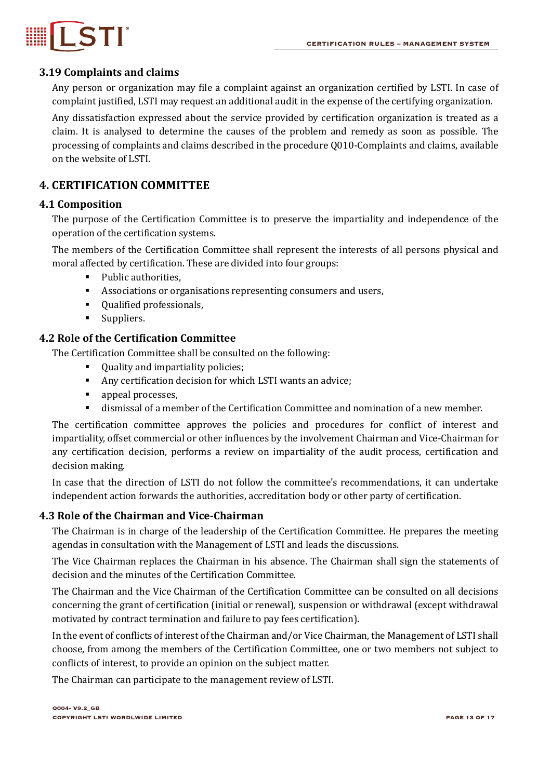

#### **3.19 Complaints and claims**

Any person or organization may file a complaint against an organization certified by LSTI. In case of complaint justified, LSTI may request an additional audit in the expense of the certifying organization.

Any dissatisfaction expressed about the service provided by certification organization is treated as a claim. It is analysed to determine the causes of the problem and remedy as soon as possible. The processing of complaints and claims described in the procedure Q010-Complaints and claims, available on the website of LSTI.

#### **4. CERTIFICATION COMMITTEE**

#### **4.1 Composition**

The purpose of the Certification Committee is to preserve the impartiality and independence of the operation of the certification systems.

The members of the Certification Committee shall represent the interests of all persons physical and moral affected by certification. These are divided into four groups:

- Public authorities.
- Associations or organisations representing consumers and users,
- § Qualified professionals,
- § Suppliers.

#### **4.2 Role of the Certification Committee**

The Certification Committee shall be consulted on the following:

- Quality and impartiality policies;
- Any certification decision for which LSTI wants an advice;
- appeal processes,
- dismissal of a member of the Certification Committee and nomination of a new member.

The certification committee approves the policies and procedures for conflict of interest and impartiality, offset commercial or other influences by the involvement Chairman and Vice-Chairman for any certification decision, performs a review on impartiality of the audit process, certification and decision making.

In case that the direction of LSTI do not follow the committee's recommendations, it can undertake independent action forwards the authorities, accreditation body or other party of certification.

#### **4.3 Role of the Chairman and Vice-Chairman**

The Chairman is in charge of the leadership of the Certification Committee. He prepares the meeting agendas in consultation with the Management of LSTI and leads the discussions.

The Vice Chairman replaces the Chairman in his absence. The Chairman shall sign the statements of decision and the minutes of the Certification Committee.

The Chairman and the Vice Chairman of the Certification Committee can be consulted on all decisions concerning the grant of certification (initial or renewal), suspension or withdrawal (except withdrawal motivated by contract termination and failure to pay fees certification).

In the event of conflicts of interest of the Chairman and/or Vice Chairman, the Management of LSTI shall choose, from among the members of the Certification Committee, one or two members not subject to conflicts of interest, to provide an opinion on the subject matter.

The Chairman can participate to the management review of LSTI.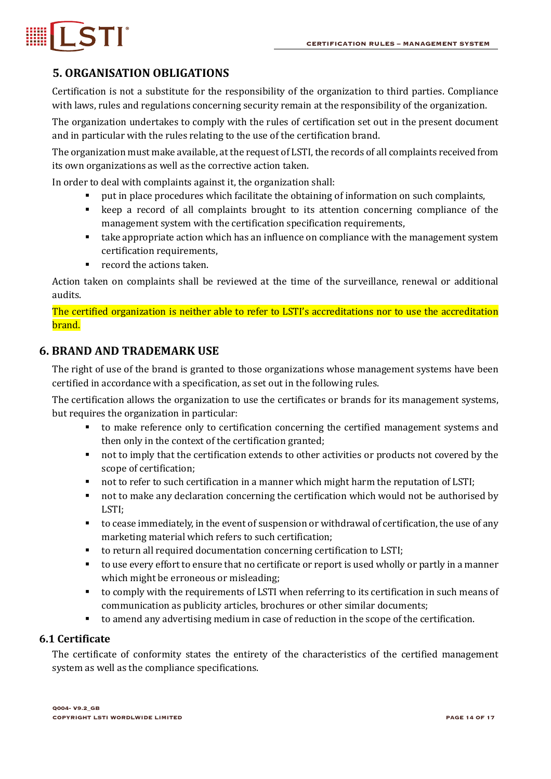# LSTI®

### **5. ORGANISATION OBLIGATIONS**

Certification is not a substitute for the responsibility of the organization to third parties. Compliance with laws, rules and regulations concerning security remain at the responsibility of the organization.

The organization undertakes to comply with the rules of certification set out in the present document and in particular with the rules relating to the use of the certification brand.

The organization must make available, at the request of LSTI, the records of all complaints received from its own organizations as well as the corrective action taken.

In order to deal with complaints against it, the organization shall:

- put in place procedures which facilitate the obtaining of information on such complaints,
- keep a record of all complaints brought to its attention concerning compliance of the management system with the certification specification requirements,
- take appropriate action which has an influence on compliance with the management system certification requirements,
- $\blacksquare$  record the actions taken.

Action taken on complaints shall be reviewed at the time of the surveillance, renewal or additional audits.

The certified organization is neither able to refer to LSTI's accreditations nor to use the accreditation brand.

#### **6. BRAND AND TRADEMARK USE**

The right of use of the brand is granted to those organizations whose management systems have been certified in accordance with a specification, as set out in the following rules.

The certification allows the organization to use the certificates or brands for its management systems, but requires the organization in particular:

- to make reference only to certification concerning the certified management systems and then only in the context of the certification granted;
- not to imply that the certification extends to other activities or products not covered by the scope of certification;
- not to refer to such certification in a manner which might harm the reputation of LSTI;
- not to make any declaration concerning the certification which would not be authorised by LSTI;
- $\blacksquare$  to cease immediately, in the event of suspension or withdrawal of certification, the use of any marketing material which refers to such certification;
- to return all required documentation concerning certification to LSTI;
- to use every effort to ensure that no certificate or report is used wholly or partly in a manner which might be erroneous or misleading;
- to comply with the requirements of LSTI when referring to its certification in such means of communication as publicity articles, brochures or other similar documents;
- to amend any advertising medium in case of reduction in the scope of the certification.

#### **6.1 Certificate**

The certificate of conformity states the entirety of the characteristics of the certified management system as well as the compliance specifications.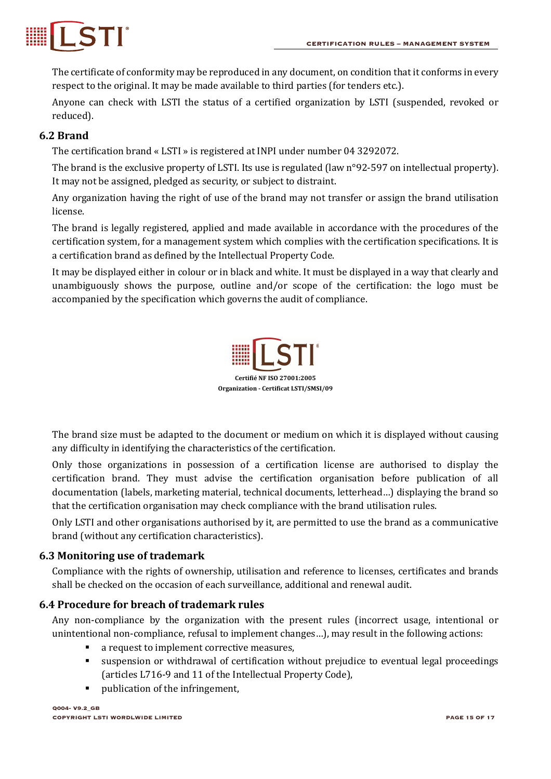

The certificate of conformity may be reproduced in any document, on condition that it conforms in every respect to the original. It may be made available to third parties (for tenders etc.).

Anyone can check with LSTI the status of a certified organization by LSTI (suspended, revoked or reduced).

#### **6.2 Brand**

The certification brand « LSTI » is registered at INPI under number 04 3292072.

The brand is the exclusive property of LSTI. Its use is regulated (law  $n^{\circ}92$ -597 on intellectual property). It may not be assigned, pledged as security, or subject to distraint.

Any organization having the right of use of the brand may not transfer or assign the brand utilisation license.

The brand is legally registered, applied and made available in accordance with the procedures of the certification system, for a management system which complies with the certification specifications. It is a certification brand as defined by the Intellectual Property Code.

It may be displayed either in colour or in black and white. It must be displayed in a way that clearly and unambiguously shows the purpose, outline and/or scope of the certification: the logo must be accompanied by the specification which governs the audit of compliance.



The brand size must be adapted to the document or medium on which it is displayed without causing any difficulty in identifying the characteristics of the certification.

Only those organizations in possession of a certification license are authorised to display the certification brand. They must advise the certification organisation before publication of all documentation (labels, marketing material, technical documents, letterhead...) displaying the brand so that the certification organisation may check compliance with the brand utilisation rules.

Only LSTI and other organisations authorised by it, are permitted to use the brand as a communicative brand (without any certification characteristics).

#### **6.3 Monitoring use of trademark**

Compliance with the rights of ownership, utilisation and reference to licenses, certificates and brands shall be checked on the occasion of each surveillance, additional and renewal audit.

#### **6.4 Procedure for breach of trademark rules**

Any non-compliance by the organization with the present rules (incorrect usage, intentional or unintentional non-compliance, refusal to implement changes...), may result in the following actions:

- a request to implement corrective measures,
- suspension or withdrawal of certification without prejudice to eventual legal proceedings (articles L716-9 and 11 of the Intellectual Property Code),
- publication of the infringement,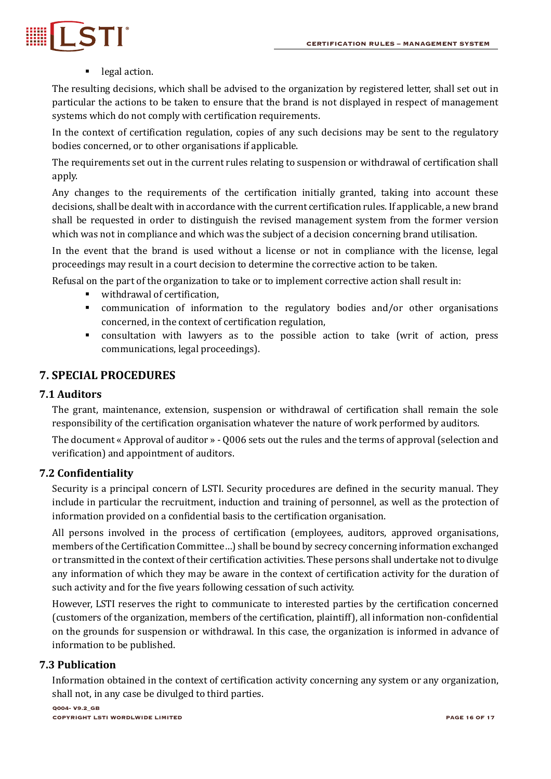

#### ■ legal action.

The resulting decisions, which shall be advised to the organization by registered letter, shall set out in particular the actions to be taken to ensure that the brand is not displayed in respect of management systems which do not comply with certification requirements.

In the context of certification regulation, copies of any such decisions may be sent to the regulatory bodies concerned, or to other organisations if applicable.

The requirements set out in the current rules relating to suspension or withdrawal of certification shall apply.

Any changes to the requirements of the certification initially granted, taking into account these decisions, shall be dealt with in accordance with the current certification rules. If applicable, a new brand shall be requested in order to distinguish the revised management system from the former version which was not in compliance and which was the subject of a decision concerning brand utilisation.

In the event that the brand is used without a license or not in compliance with the license, legal proceedings may result in a court decision to determine the corrective action to be taken.

Refusal on the part of the organization to take or to implement corrective action shall result in:

- withdrawal of certification,
- communication of information to the regulatory bodies and/or other organisations concerned, in the context of certification regulation,
- consultation with lawyers as to the possible action to take (writ of action, press communications, legal proceedings).

#### **7. SPECIAL PROCEDURES**

#### **7.1 Auditors**

The grant, maintenance, extension, suspension or withdrawal of certification shall remain the sole responsibility of the certification organisation whatever the nature of work performed by auditors.

The document « Approval of auditor » - Q006 sets out the rules and the terms of approval (selection and verification) and appointment of auditors.

#### **7.2 Confidentiality**

Security is a principal concern of LSTI. Security procedures are defined in the security manual. They include in particular the recruitment, induction and training of personnel, as well as the protection of information provided on a confidential basis to the certification organisation.

All persons involved in the process of certification (employees, auditors, approved organisations, members of the Certification Committee...) shall be bound by secrecy concerning information exchanged or transmitted in the context of their certification activities. These persons shall undertake not to divulge any information of which they may be aware in the context of certification activity for the duration of such activity and for the five years following cessation of such activity.

However, LSTI reserves the right to communicate to interested parties by the certification concerned (customers of the organization, members of the certification, plaintiff), all information non-confidential on the grounds for suspension or withdrawal. In this case, the organization is informed in advance of information to be published.

#### **7.3 Publication**

Information obtained in the context of certification activity concerning any system or any organization, shall not, in any case be divulged to third parties.